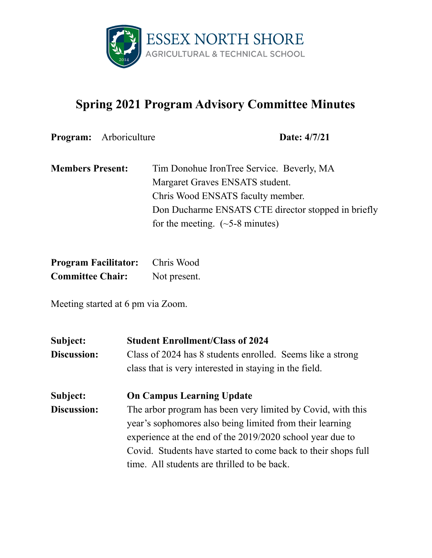

## **Spring 2021 Program Advisory Committee Minutes**

**Program:** Arboriculture **Date:** 4/7/21

| <b>Members Present:</b> | Tim Donohue IronTree Service. Beverly, MA           |
|-------------------------|-----------------------------------------------------|
|                         | Margaret Graves ENSATS student.                     |
|                         | Chris Wood ENSATS faculty member.                   |
|                         | Don Ducharme ENSATS CTE director stopped in briefly |
|                         | for the meeting. $(\sim 5-8$ minutes)               |

| <b>Program Facilitator:</b> | Chris Wood   |
|-----------------------------|--------------|
| <b>Committee Chair:</b>     | Not present. |

Meeting started at 6 pm via Zoom.

| Subject:    | <b>Student Enrollment/Class of 2024</b>                     |
|-------------|-------------------------------------------------------------|
| Discussion: | Class of 2024 has 8 students enrolled. Seems like a strong  |
|             | class that is very interested in staying in the field.      |
| Subject:    | <b>On Campus Learning Update</b>                            |
| Discussion: | The arbor program has been very limited by Covid, with this |
|             | year's sophomores also being limited from their learning    |
|             | experience at the end of the 2019/2020 school year due to   |

time. All students are thrilled to be back.

Covid. Students have started to come back to their shops full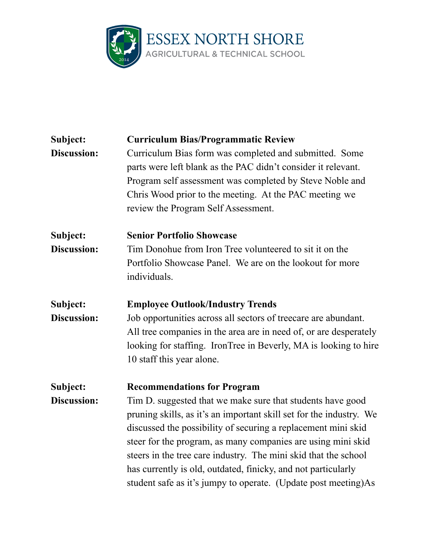

| <b>Curriculum Bias/Programmatic Review</b>                                                                                                                                                                                                                                                                                                                                                                                                                               |
|--------------------------------------------------------------------------------------------------------------------------------------------------------------------------------------------------------------------------------------------------------------------------------------------------------------------------------------------------------------------------------------------------------------------------------------------------------------------------|
| Curriculum Bias form was completed and submitted. Some<br>parts were left blank as the PAC didn't consider it relevant.<br>Program self assessment was completed by Steve Noble and<br>Chris Wood prior to the meeting. At the PAC meeting we<br>review the Program Self Assessment.                                                                                                                                                                                     |
| <b>Senior Portfolio Showcase</b>                                                                                                                                                                                                                                                                                                                                                                                                                                         |
| Tim Donohue from Iron Tree volunteered to sit it on the<br>Portfolio Showcase Panel. We are on the lookout for more<br>individuals.                                                                                                                                                                                                                                                                                                                                      |
| <b>Employee Outlook/Industry Trends</b>                                                                                                                                                                                                                                                                                                                                                                                                                                  |
| Job opportunities across all sectors of treecare are abundant.<br>All tree companies in the area are in need of, or are desperately<br>looking for staffing. IronTree in Beverly, MA is looking to hire<br>10 staff this year alone.                                                                                                                                                                                                                                     |
| <b>Recommendations for Program</b>                                                                                                                                                                                                                                                                                                                                                                                                                                       |
| Tim D. suggested that we make sure that students have good<br>pruning skills, as it's an important skill set for the industry. We<br>discussed the possibility of securing a replacement mini skid<br>steer for the program, as many companies are using mini skid<br>steers in the tree care industry. The mini skid that the school<br>has currently is old, outdated, finicky, and not particularly<br>student safe as it's jumpy to operate. (Update post meeting)As |
|                                                                                                                                                                                                                                                                                                                                                                                                                                                                          |